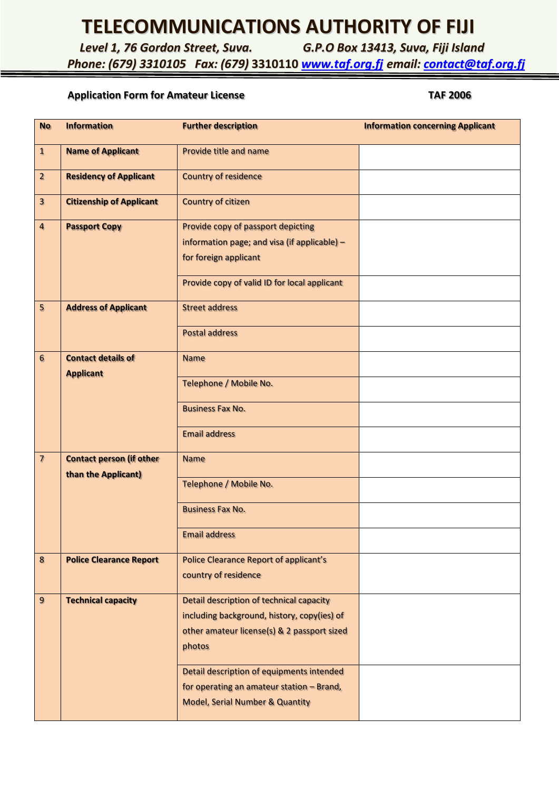# **TELECOMMUNICATIONS AUTHORITY OF FIJI**

*Level 1, 76 Gordon Street, Suva. G.P.O Box 13413, Suva, Fiji Island*

*Phone: (679) 3310105 Fax: (679)* **3310110** *[www.taf.org.fj](http://www.taf.org.fj/) email: [contact@taf.org.fj](mailto:contact@taf.org.fj)*

### Application Form for Amateur License TAF 2006

| <b>No</b>                | <b>Information</b>                                     | <b>Further description</b>                                                                                                                                                                    | <b>Information concerning Applicant</b> |
|--------------------------|--------------------------------------------------------|-----------------------------------------------------------------------------------------------------------------------------------------------------------------------------------------------|-----------------------------------------|
| $\mathbf{1}$             | <b>Name of Applicant</b>                               | Provide title and name                                                                                                                                                                        |                                         |
| $\overline{2}$           | <b>Residency of Applicant</b>                          | <b>Country of residence</b>                                                                                                                                                                   |                                         |
| $\overline{\mathbf{3}}$  | <b>Citizenship of Applicant</b>                        | <b>Country of citizen</b>                                                                                                                                                                     |                                         |
| $\overline{4}$           | <b>Passport Copy</b>                                   | Provide copy of passport depicting<br>information page; and visa (if applicable) -<br>for foreign applicant<br>Provide copy of valid ID for local applicant                                   |                                         |
| 5                        | <b>Address of Applicant</b>                            | <b>Street address</b>                                                                                                                                                                         |                                         |
|                          |                                                        | <b>Postal address</b>                                                                                                                                                                         |                                         |
| 6                        | <b>Contact details of</b><br><b>Applicant</b>          | <b>Name</b>                                                                                                                                                                                   |                                         |
|                          |                                                        | Telephone / Mobile No.                                                                                                                                                                        |                                         |
|                          |                                                        | <b>Business Fax No.</b>                                                                                                                                                                       |                                         |
|                          |                                                        | <b>Email address</b>                                                                                                                                                                          |                                         |
| $\overline{\phantom{a}}$ | <b>Contact person (if other</b><br>than the Applicant) | <b>Name</b>                                                                                                                                                                                   |                                         |
|                          |                                                        | Telephone / Mobile No.                                                                                                                                                                        |                                         |
|                          |                                                        | <b>Business Fax No.</b>                                                                                                                                                                       |                                         |
|                          |                                                        | <b>Email address</b>                                                                                                                                                                          |                                         |
| $\bf 8$                  | <b>Police Clearance Report</b>                         | <b>Police Clearance Report of applicant's</b><br>country of residence                                                                                                                         |                                         |
| 9                        | <b>Technical capacity</b>                              | Detail description of technical capacity<br>including background, history, copy(ies) of<br>other amateur license(s) & 2 passport sized<br>photos<br>Detail description of equipments intended |                                         |
|                          |                                                        | for operating an amateur station - Brand,<br><b>Model, Serial Number &amp; Quantity</b>                                                                                                       |                                         |